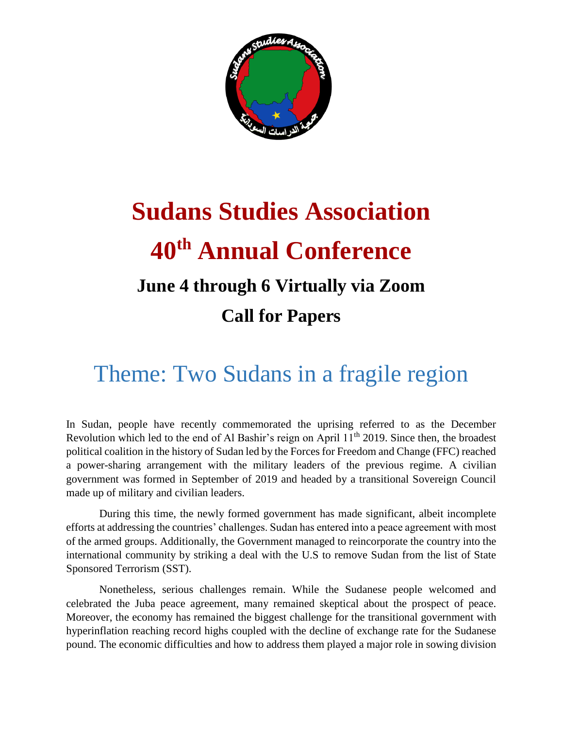

## **Sudans Studies Association 40th Annual Conference June 4 through 6 Virtually via Zoom Call for Papers**

## Theme: Two Sudans in a fragile region

In Sudan, people have recently commemorated the uprising referred to as the December Revolution which led to the end of Al Bashir's reign on April 11<sup>th</sup> 2019. Since then, the broadest political coalition in the history of Sudan led by the Forces for Freedom and Change (FFC) reached a power-sharing arrangement with the military leaders of the previous regime. A civilian government was formed in September of 2019 and headed by a transitional Sovereign Council made up of military and civilian leaders.

During this time, the newly formed government has made significant, albeit incomplete efforts at addressing the countries' challenges. Sudan has entered into a peace agreement with most of the armed groups. Additionally, the Government managed to reincorporate the country into the international community by striking a deal with the U.S to remove Sudan from the list of State Sponsored Terrorism (SST).

Nonetheless, serious challenges remain. While the Sudanese people welcomed and celebrated the Juba peace agreement, many remained skeptical about the prospect of peace. Moreover, the economy has remained the biggest challenge for the transitional government with hyperinflation reaching record highs coupled with the decline of exchange rate for the Sudanese pound. The economic difficulties and how to address them played a major role in sowing division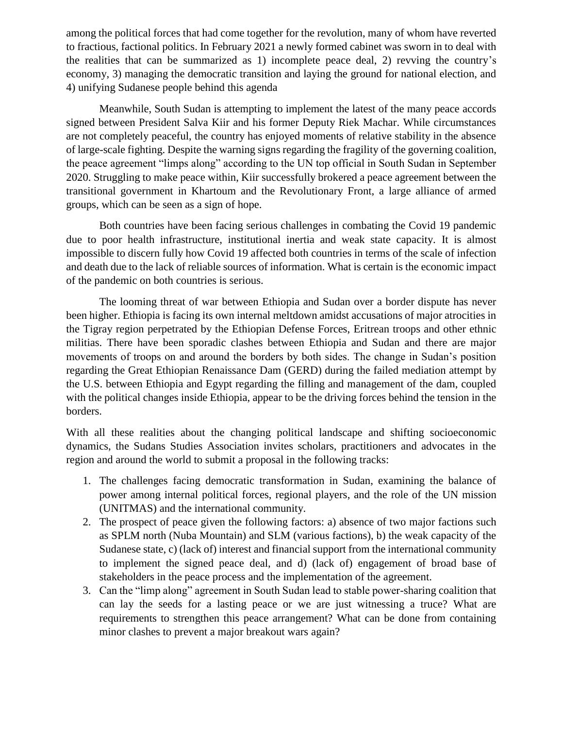among the political forces that had come together for the revolution, many of whom have reverted to fractious, factional politics. In February 2021 a newly formed cabinet was sworn in to deal with the realities that can be summarized as 1) incomplete peace deal, 2) revving the country's economy, 3) managing the democratic transition and laying the ground for national election, and 4) unifying Sudanese people behind this agenda

Meanwhile, South Sudan is attempting to implement the latest of the many peace accords signed between President Salva Kiir and his former Deputy Riek Machar. While circumstances are not completely peaceful, the country has enjoyed moments of relative stability in the absence of large-scale fighting. Despite the warning signs regarding the fragility of the governing coalition, the peace agreement "limps along" according to the UN top official in South Sudan in September 2020. Struggling to make peace within, Kiir successfully brokered a peace agreement between the transitional government in Khartoum and the Revolutionary Front, a large alliance of armed groups, which can be seen as a sign of hope.

Both countries have been facing serious challenges in combating the Covid 19 pandemic due to poor health infrastructure, institutional inertia and weak state capacity. It is almost impossible to discern fully how Covid 19 affected both countries in terms of the scale of infection and death due to the lack of reliable sources of information. What is certain is the economic impact of the pandemic on both countries is serious.

The looming threat of war between Ethiopia and Sudan over a border dispute has never been higher. Ethiopia is facing its own internal meltdown amidst accusations of major atrocities in the Tigray region perpetrated by the Ethiopian Defense Forces, Eritrean troops and other ethnic militias. There have been sporadic clashes between Ethiopia and Sudan and there are major movements of troops on and around the borders by both sides. The change in Sudan's position regarding the Great Ethiopian Renaissance Dam (GERD) during the failed mediation attempt by the U.S. between Ethiopia and Egypt regarding the filling and management of the dam, coupled with the political changes inside Ethiopia, appear to be the driving forces behind the tension in the borders.

With all these realities about the changing political landscape and shifting socioeconomic dynamics, the Sudans Studies Association invites scholars, practitioners and advocates in the region and around the world to submit a proposal in the following tracks:

- 1. The challenges facing democratic transformation in Sudan, examining the balance of power among internal political forces, regional players, and the role of the UN mission (UNITMAS) and the international community.
- 2. The prospect of peace given the following factors: a) absence of two major factions such as SPLM north (Nuba Mountain) and SLM (various factions), b) the weak capacity of the Sudanese state, c) (lack of) interest and financial support from the international community to implement the signed peace deal, and d) (lack of) engagement of broad base of stakeholders in the peace process and the implementation of the agreement.
- 3. Can the "limp along" agreement in South Sudan lead to stable power-sharing coalition that can lay the seeds for a lasting peace or we are just witnessing a truce? What are requirements to strengthen this peace arrangement? What can be done from containing minor clashes to prevent a major breakout wars again?